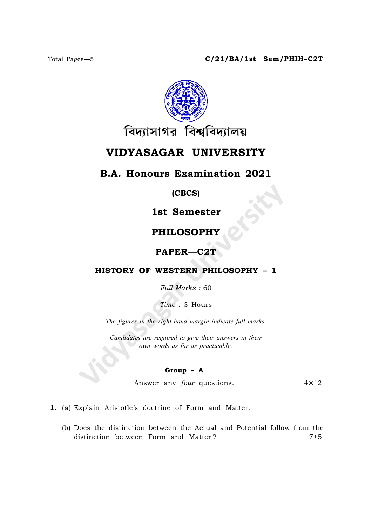

# VIDYASAGAR UNIVERSITY

# B.A. Honours Examination 2021

(CBCS)

1st Semester

# PHILOSOPHY

## PAPER—C2T

## HISTORY OF WESTERN PHILOSOPHY – 1

Full Marks : 60

Time : 3 Hours

The figures in the right-hand margin indicate full marks.

Candidates are required to give their answers in their own words as far as practicable.

### Group – A

Answer any  $four$  questions.  $4 \times 12$ 

1. (a) Explain Aristotle's doctrine of Form and Matter.

(b) Does the distinction between the Actual and Potential follow from the distinction between Form and Matter? 7+5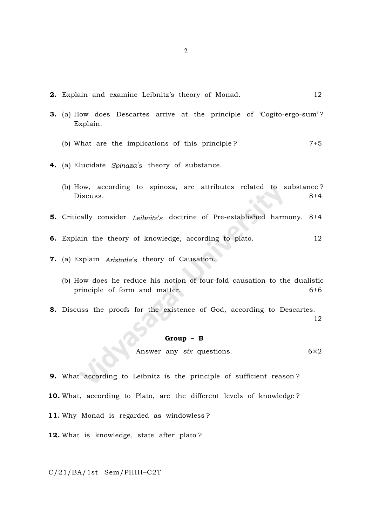- **2.** Explain and examine Leibnitz's theory of Monad. 22
- 3. (a) How does Descartes arrive at the principle of 'Cogito-ergo-sum' ? Explain.
	- (b) What are the implications of this principle ?  $7+5$
- 4. (a) Elucidate Spinaza's theory of substance.
	- (b) How, according to spinoza, are attributes related to substance ? Discuss. 8+4
- 5. Critically consider Leibnitz's doctrine of Pre-established harmony. 8+4
- **6.** Explain the theory of knowledge, according to plato. 12
- 7. (a) Explain Aristotle's theory of Causation.
	- (b) How does he reduce his notion of four-fold causation to the dualistic principle of form and matter. 6+6
- 8. Discuss the proofs for the existence of God, according to Descartes.

#### 12

### Group – B

Answer any six questions.  $6 \times 2$ 

- 9. What according to Leibnitz is the principle of sufficient reason ?
- 10. What, according to Plato, are the different levels of knowledge ?
- 11. Why Monad is regarded as windowless ?
- 12. What is knowledge, state after plato?

### C/21/BA/1st Sem/PHIH–C2T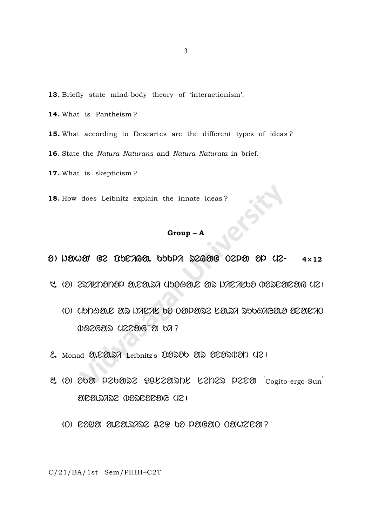- 13. Briefly state mind-body theory of 'interactionism'.
- 14. What is Pantheism?
- 15. What according to Descartes are the different types of ideas?
- 16. State the Natura Naturans and Natura Naturata in brief.
- 17. What is skepticism?
- 18. How does Leibnitz explain the innate ideas?

# $Group - A$

- $\theta$ ) Newer G2 BACAGE. OSOPA S2GEEG O2PER EP U2- $4\times12$
- R. (O) ESTENDIDE ELEGIST UDOGELE ETS NAETEDE VESEETEER (E)
	- (O) UPDATE AS DIEIR DA OAPASE LA.SI SODARA.A AEAEIO *(DAZGO)* UZCOG 0 b7?
- 2. Monad 3.C31.27 Leibnitz's 03230 312 3C320131 U21
- 2. (2) 2020 P20202 POLZEDINE L2N22 P2C20 Cogito-ergo-Sun ENEERIANE WENEEREE USI
	- (0) 2000 0.20.3722 229 60 00600 000220 ?

C/21/BA/1st Sem/PHIH-C2T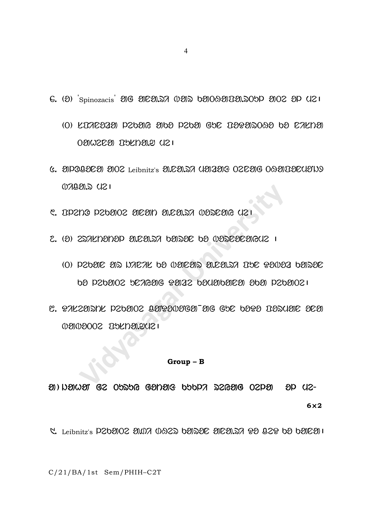- G. (2) Spinozacis 20 2022.27 (02)2 6200920020.209 2002 20 (21
	- (O) KIAEOZO PZOOR ODO PZOO GOE IOPODOOO OO EAKOO 021002620 0206020 021
- G. OPOBOE ON OO Leibnitz's M.C.M. DA UNANG OCENG OG MIDEUTING  $(120.5)$   $(121)$
- C. OPZNO PZ6002 OEON O.EO. SA WOSEOG UZI
- 2. (2) 227KH2H2P 31.CE1.27 62122C 62 0220220642 1
	- (O) PZOEE ET NAEAL OE (VEIEETS ELEELSA IOE PE(VEZ OETSE 00 020902 027696 99132 090909129 909 02091021
- C. PALZENNL PZOEIOZ BETPENTEEN EN BOOD BENDE ELE 0000002 RSKD0021

### $Group - B$

M) NAMAI GZ OPZPG GANAG PAPN ZSGAG OZPA  $8D$   $(12 6\times2$ 

C. Leibnitz's P202002 2007 0922 02022 202207 22 022 02 020221

C/21/BA/1st Sem/PHIH-C2T